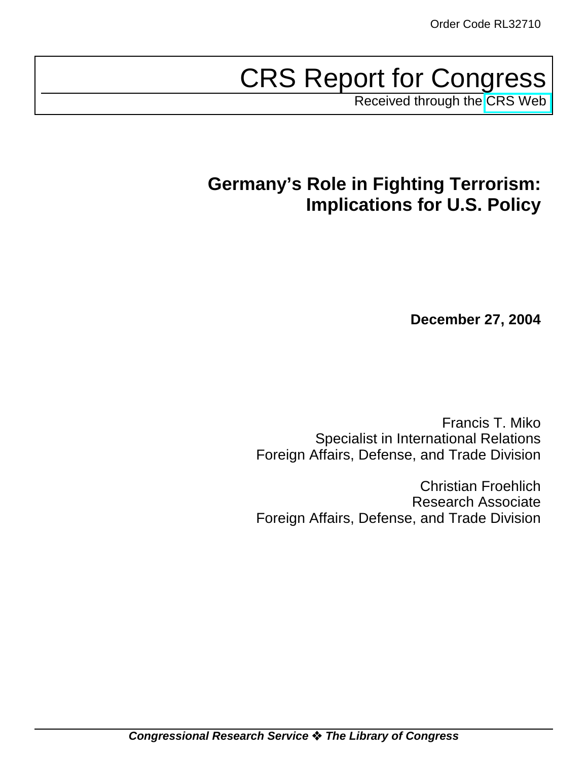# CRS Report for Congress

Received through the [CRS Web](http://www.fas.org/irp/crs/index.html)

# **Germany's Role in Fighting Terrorism: Implications for U.S. Policy**

**December 27, 2004**

Francis T. Miko Specialist in International Relations Foreign Affairs, Defense, and Trade Division

Christian Froehlich Research Associate Foreign Affairs, Defense, and Trade Division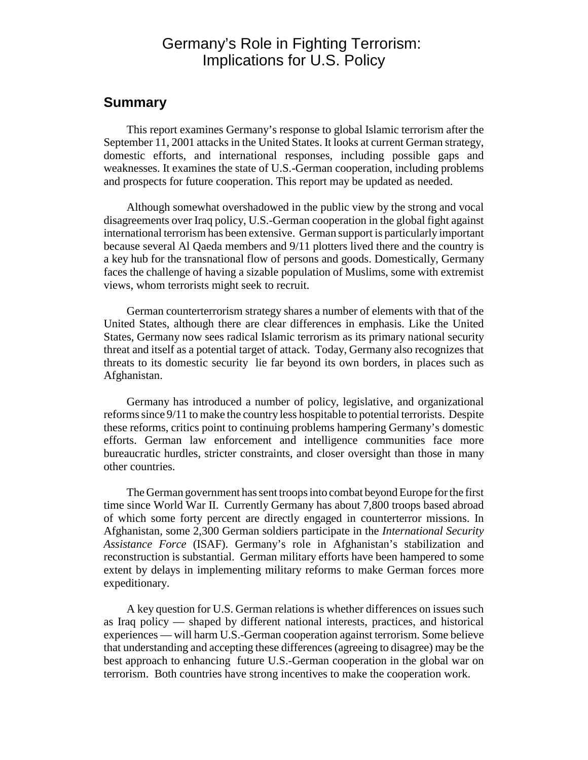# Germany's Role in Fighting Terrorism: Implications for U.S. Policy

### **Summary**

This report examines Germany's response to global Islamic terrorism after the September 11, 2001 attacks in the United States. It looks at current German strategy, domestic efforts, and international responses, including possible gaps and weaknesses. It examines the state of U.S.-German cooperation, including problems and prospects for future cooperation. This report may be updated as needed.

Although somewhat overshadowed in the public view by the strong and vocal disagreements over Iraq policy, U.S.-German cooperation in the global fight against international terrorism has been extensive. German support is particularly important because several Al Qaeda members and 9/11 plotters lived there and the country is a key hub for the transnational flow of persons and goods. Domestically, Germany faces the challenge of having a sizable population of Muslims, some with extremist views, whom terrorists might seek to recruit.

German counterterrorism strategy shares a number of elements with that of the United States, although there are clear differences in emphasis. Like the United States, Germany now sees radical Islamic terrorism as its primary national security threat and itself as a potential target of attack. Today, Germany also recognizes that threats to its domestic security lie far beyond its own borders, in places such as Afghanistan.

Germany has introduced a number of policy, legislative, and organizational reforms since 9/11 to make the country less hospitable to potential terrorists. Despite these reforms, critics point to continuing problems hampering Germany's domestic efforts. German law enforcement and intelligence communities face more bureaucratic hurdles, stricter constraints, and closer oversight than those in many other countries.

The German government has sent troops into combat beyond Europe for the first time since World War II. Currently Germany has about 7,800 troops based abroad of which some forty percent are directly engaged in counterterror missions. In Afghanistan, some 2,300 German soldiers participate in the *International Security Assistance Force* (ISAF). Germany's role in Afghanistan's stabilization and reconstruction is substantial. German military efforts have been hampered to some extent by delays in implementing military reforms to make German forces more expeditionary.

A key question for U.S. German relations is whether differences on issues such as Iraq policy — shaped by different national interests, practices, and historical experiences — will harm U.S.-German cooperation against terrorism. Some believe that understanding and accepting these differences (agreeing to disagree) may be the best approach to enhancing future U.S.-German cooperation in the global war on terrorism. Both countries have strong incentives to make the cooperation work.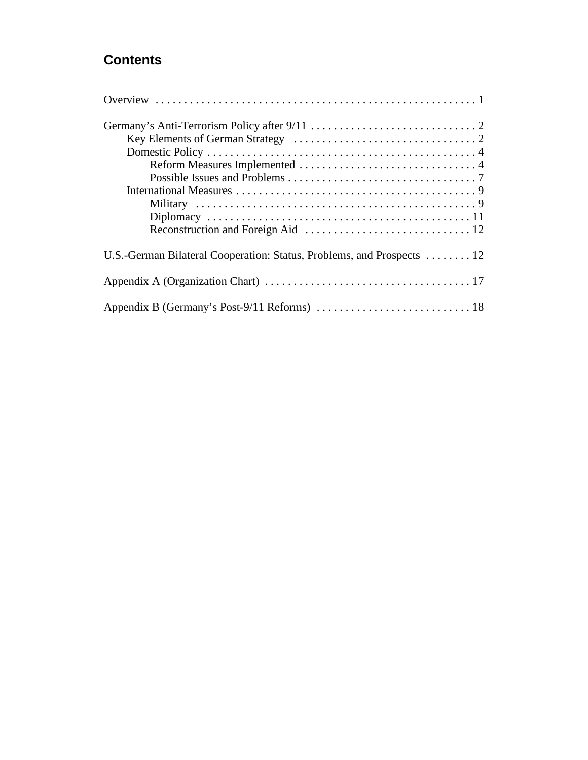# **Contents**

| U.S.-German Bilateral Cooperation: Status, Problems, and Prospects 12 |
|-----------------------------------------------------------------------|
|                                                                       |
|                                                                       |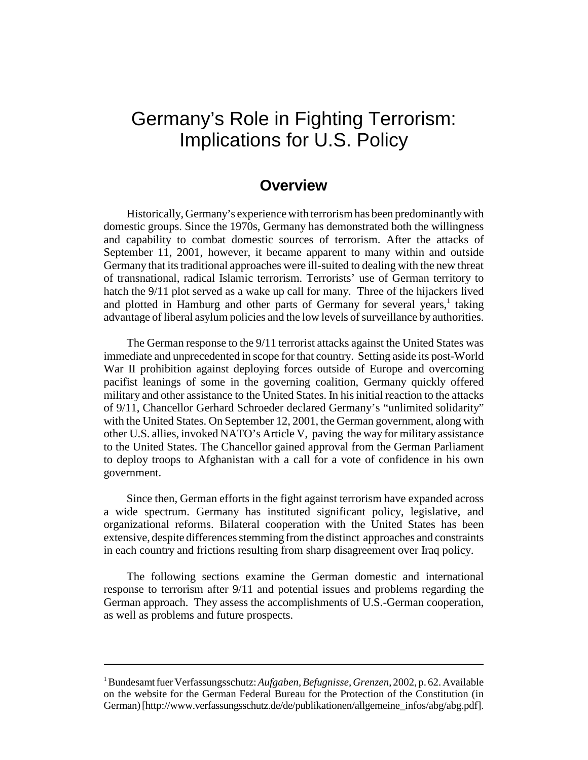# Germany's Role in Fighting Terrorism: Implications for U.S. Policy

## **Overview**

Historically, Germany's experience with terrorism has been predominantly with domestic groups. Since the 1970s, Germany has demonstrated both the willingness and capability to combat domestic sources of terrorism. After the attacks of September 11, 2001, however, it became apparent to many within and outside Germany that its traditional approaches were ill-suited to dealing with the new threat of transnational, radical Islamic terrorism. Terrorists' use of German territory to hatch the 9/11 plot served as a wake up call for many. Three of the hijackers lived and plotted in Hamburg and other parts of Germany for several years,<sup>1</sup> taking advantage of liberal asylum policies and the low levels of surveillance by authorities.

The German response to the 9/11 terrorist attacks against the United States was immediate and unprecedented in scope for that country. Setting aside its post-World War II prohibition against deploying forces outside of Europe and overcoming pacifist leanings of some in the governing coalition, Germany quickly offered military and other assistance to the United States. In his initial reaction to the attacks of 9/11, Chancellor Gerhard Schroeder declared Germany's "unlimited solidarity" with the United States. On September 12, 2001, the German government, along with other U.S. allies, invoked NATO's Article V, paving the way for military assistance to the United States. The Chancellor gained approval from the German Parliament to deploy troops to Afghanistan with a call for a vote of confidence in his own government.

Since then, German efforts in the fight against terrorism have expanded across a wide spectrum. Germany has instituted significant policy, legislative, and organizational reforms. Bilateral cooperation with the United States has been extensive, despite differences stemming from the distinct approaches and constraints in each country and frictions resulting from sharp disagreement over Iraq policy.

The following sections examine the German domestic and international response to terrorism after 9/11 and potential issues and problems regarding the German approach. They assess the accomplishments of U.S.-German cooperation, as well as problems and future prospects.

<sup>1</sup> Bundesamt fuer Verfassungsschutz: *Aufgaben, Befugnisse, Grenzen*, 2002, p. 62. Available on the website for the German Federal Bureau for the Protection of the Constitution (in German) [http://www.verfassungsschutz.de/de/publikationen/allgemeine\_infos/abg/abg.pdf].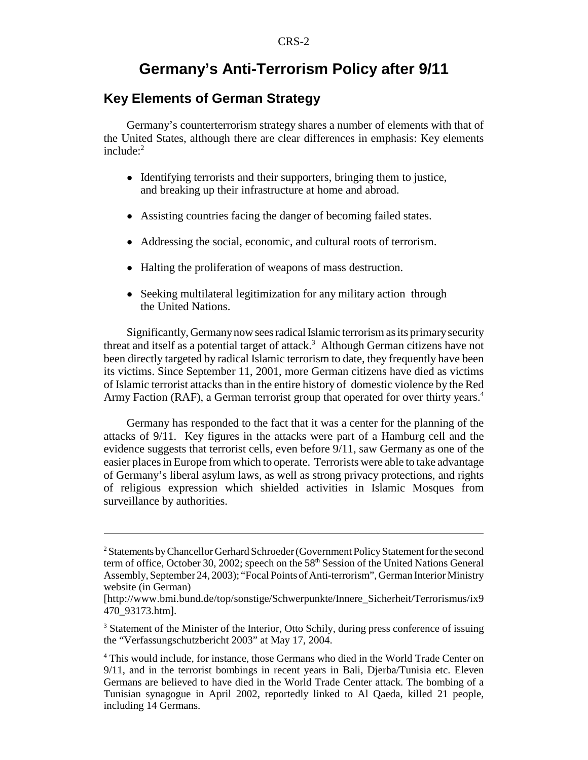# **Germany's Anti-Terrorism Policy after 9/11**

### **Key Elements of German Strategy**

Germany's counterterrorism strategy shares a number of elements with that of the United States, although there are clear differences in emphasis: Key elements  $include^2$ 

- Identifying terrorists and their supporters, bringing them to justice, and breaking up their infrastructure at home and abroad.
- ! Assisting countries facing the danger of becoming failed states.
- ! Addressing the social, economic, and cultural roots of terrorism.
- ! Halting the proliferation of weapons of mass destruction.
- Seeking multilateral legitimization for any military action through the United Nations.

Significantly, Germany now sees radical Islamic terrorism as its primary security threat and itself as a potential target of attack.<sup>3</sup> Although German citizens have not been directly targeted by radical Islamic terrorism to date, they frequently have been its victims. Since September 11, 2001, more German citizens have died as victims of Islamic terrorist attacks than in the entire history of domestic violence by the Red Army Faction (RAF), a German terrorist group that operated for over thirty years.<sup>4</sup>

Germany has responded to the fact that it was a center for the planning of the attacks of 9/11. Key figures in the attacks were part of a Hamburg cell and the evidence suggests that terrorist cells, even before 9/11, saw Germany as one of the easier places in Europe from which to operate. Terrorists were able to take advantage of Germany's liberal asylum laws, as well as strong privacy protections, and rights of religious expression which shielded activities in Islamic Mosques from surveillance by authorities.

<sup>&</sup>lt;sup>2</sup> Statements by Chancellor Gerhard Schroeder (Government Policy Statement for the second term of office, October 30, 2002; speech on the 58<sup>th</sup> Session of the United Nations General Assembly, September 24, 2003); "Focal Points of Anti-terrorism", German Interior Ministry website (in German)

<sup>[</sup>http://www.bmi.bund.de/top/sonstige/Schwerpunkte/Innere\_Sicherheit/Terrorismus/ix9 470\_93173.htm].

<sup>&</sup>lt;sup>3</sup> Statement of the Minister of the Interior, Otto Schily, during press conference of issuing the "Verfassungschutzbericht 2003" at May 17, 2004.

<sup>&</sup>lt;sup>4</sup> This would include, for instance, those Germans who died in the World Trade Center on 9/11, and in the terrorist bombings in recent years in Bali, Djerba/Tunisia etc. Eleven Germans are believed to have died in the World Trade Center attack. The bombing of a Tunisian synagogue in April 2002, reportedly linked to Al Qaeda, killed 21 people, including 14 Germans.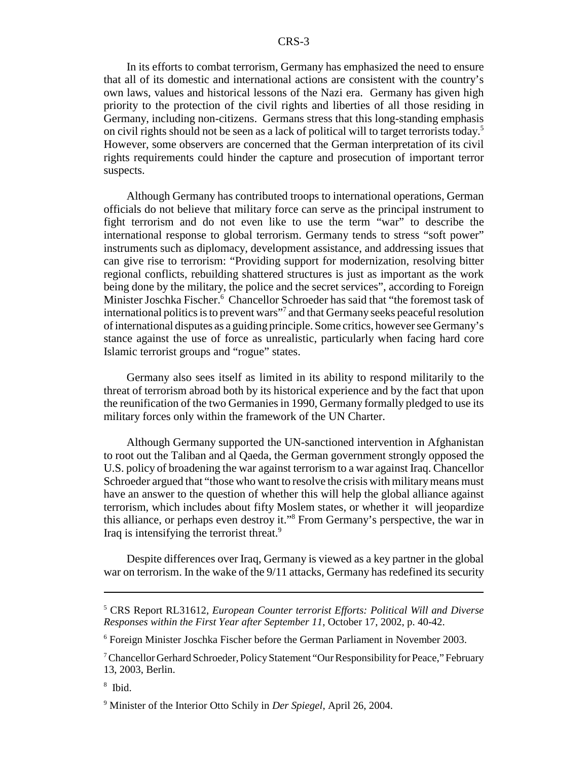In its efforts to combat terrorism, Germany has emphasized the need to ensure that all of its domestic and international actions are consistent with the country's own laws, values and historical lessons of the Nazi era. Germany has given high priority to the protection of the civil rights and liberties of all those residing in Germany, including non-citizens. Germans stress that this long-standing emphasis on civil rights should not be seen as a lack of political will to target terrorists today.5 However, some observers are concerned that the German interpretation of its civil rights requirements could hinder the capture and prosecution of important terror suspects.

Although Germany has contributed troops to international operations, German officials do not believe that military force can serve as the principal instrument to fight terrorism and do not even like to use the term "war" to describe the international response to global terrorism. Germany tends to stress "soft power" instruments such as diplomacy, development assistance, and addressing issues that can give rise to terrorism: "Providing support for modernization, resolving bitter regional conflicts, rebuilding shattered structures is just as important as the work being done by the military, the police and the secret services", according to Foreign Minister Joschka Fischer.<sup>6</sup> Chancellor Schroeder has said that "the foremost task of international politics is to prevent wars"7 and that Germany seeks peaceful resolution of international disputes as a guiding principle. Some critics, however see Germany's stance against the use of force as unrealistic, particularly when facing hard core Islamic terrorist groups and "rogue" states.

Germany also sees itself as limited in its ability to respond militarily to the threat of terrorism abroad both by its historical experience and by the fact that upon the reunification of the two Germanies in 1990, Germany formally pledged to use its military forces only within the framework of the UN Charter.

Although Germany supported the UN-sanctioned intervention in Afghanistan to root out the Taliban and al Qaeda, the German government strongly opposed the U.S. policy of broadening the war against terrorism to a war against Iraq. Chancellor Schroeder argued that "those who want to resolve the crisis with military means must have an answer to the question of whether this will help the global alliance against terrorism, which includes about fifty Moslem states, or whether it will jeopardize this alliance, or perhaps even destroy it."8 From Germany's perspective, the war in Iraq is intensifying the terrorist threat.<sup>9</sup>

Despite differences over Iraq, Germany is viewed as a key partner in the global war on terrorism. In the wake of the 9/11 attacks, Germany has redefined its security

8 Ibid.

<sup>5</sup> CRS Report RL31612, *European Counter terrorist Efforts: Political Will and Diverse Responses within the First Year after September 11*, October 17, 2002, p. 40-42.

<sup>6</sup> Foreign Minister Joschka Fischer before the German Parliament in November 2003.

<sup>&</sup>lt;sup>7</sup> Chancellor Gerhard Schroeder, Policy Statement "Our Responsibility for Peace," February 13, 2003, Berlin.

<sup>9</sup> Minister of the Interior Otto Schily in *Der Spiegel*, April 26, 2004.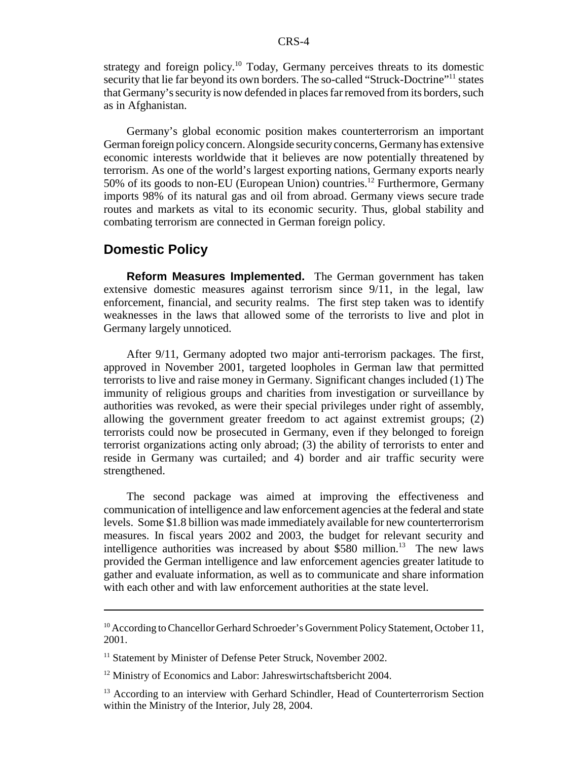strategy and foreign policy.<sup>10</sup> Today, Germany perceives threats to its domestic security that lie far beyond its own borders. The so-called "Struck-Doctrine"<sup>11</sup> states that Germany's security is now defended in places far removed from its borders, such as in Afghanistan.

Germany's global economic position makes counterterrorism an important German foreign policy concern. Alongside security concerns, Germany has extensive economic interests worldwide that it believes are now potentially threatened by terrorism. As one of the world's largest exporting nations, Germany exports nearly 50% of its goods to non-EU (European Union) countries.<sup>12</sup> Furthermore, Germany imports 98% of its natural gas and oil from abroad. Germany views secure trade routes and markets as vital to its economic security. Thus, global stability and combating terrorism are connected in German foreign policy.

#### **Domestic Policy**

**Reform Measures Implemented.** The German government has taken extensive domestic measures against terrorism since 9/11, in the legal, law enforcement, financial, and security realms. The first step taken was to identify weaknesses in the laws that allowed some of the terrorists to live and plot in Germany largely unnoticed.

After 9/11, Germany adopted two major anti-terrorism packages. The first, approved in November 2001, targeted loopholes in German law that permitted terrorists to live and raise money in Germany. Significant changes included (1) The immunity of religious groups and charities from investigation or surveillance by authorities was revoked, as were their special privileges under right of assembly, allowing the government greater freedom to act against extremist groups; (2) terrorists could now be prosecuted in Germany, even if they belonged to foreign terrorist organizations acting only abroad; (3) the ability of terrorists to enter and reside in Germany was curtailed; and 4) border and air traffic security were strengthened.

The second package was aimed at improving the effectiveness and communication of intelligence and law enforcement agencies at the federal and state levels. Some \$1.8 billion was made immediately available for new counterterrorism measures. In fiscal years 2002 and 2003, the budget for relevant security and intelligence authorities was increased by about \$580 million.<sup>13</sup> The new laws provided the German intelligence and law enforcement agencies greater latitude to gather and evaluate information, as well as to communicate and share information with each other and with law enforcement authorities at the state level.

<sup>&</sup>lt;sup>10</sup> According to Chancellor Gerhard Schroeder's Government Policy Statement, October 11, 2001.

<sup>&</sup>lt;sup>11</sup> Statement by Minister of Defense Peter Struck, November 2002.

<sup>&</sup>lt;sup>12</sup> Ministry of Economics and Labor: Jahreswirtschaftsbericht 2004.

<sup>&</sup>lt;sup>13</sup> According to an interview with Gerhard Schindler, Head of Counterterrorism Section within the Ministry of the Interior, July 28, 2004.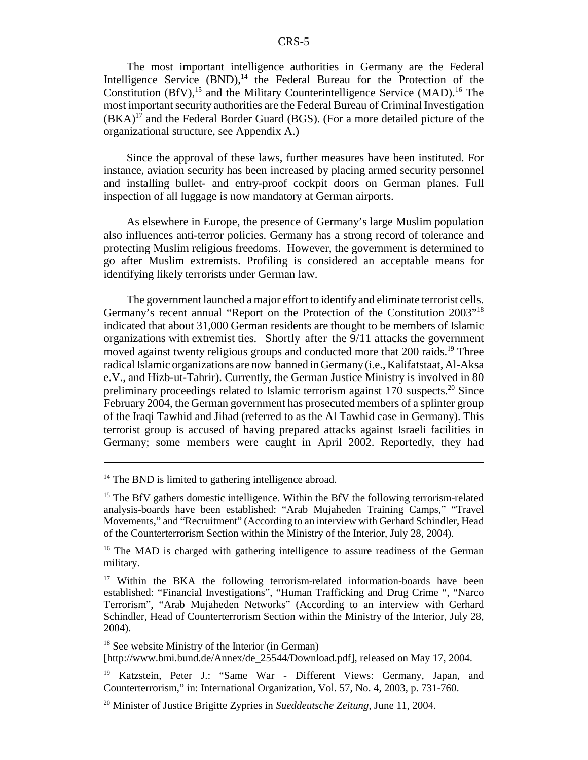The most important intelligence authorities in Germany are the Federal Intelligence Service  $(BND)$ ,<sup>14</sup> the Federal Bureau for the Protection of the Constitution  $(BfV)$ ,<sup>15</sup> and the Military Counterintelligence Service  $(MAD)$ .<sup>16</sup> The most important security authorities are the Federal Bureau of Criminal Investigation  $(BKA)^{17}$  and the Federal Border Guard (BGS). (For a more detailed picture of the organizational structure, see Appendix A.)

Since the approval of these laws, further measures have been instituted. For instance, aviation security has been increased by placing armed security personnel and installing bullet- and entry-proof cockpit doors on German planes. Full inspection of all luggage is now mandatory at German airports.

As elsewhere in Europe, the presence of Germany's large Muslim population also influences anti-terror policies. Germany has a strong record of tolerance and protecting Muslim religious freedoms. However, the government is determined to go after Muslim extremists. Profiling is considered an acceptable means for identifying likely terrorists under German law.

The government launched a major effort to identify and eliminate terrorist cells. Germany's recent annual "Report on the Protection of the Constitution 2003"18 indicated that about 31,000 German residents are thought to be members of Islamic organizations with extremist ties. Shortly after the 9/11 attacks the government moved against twenty religious groups and conducted more that 200 raids.<sup>19</sup> Three radical Islamic organizations are now banned in Germany (i.e., Kalifatstaat, Al-Aksa e.V., and Hizb-ut-Tahrir). Currently, the German Justice Ministry is involved in 80 preliminary proceedings related to Islamic terrorism against  $170$  suspects.<sup>20</sup> Since February 2004, the German government has prosecuted members of a splinter group of the Iraqi Tawhid and Jihad (referred to as the Al Tawhid case in Germany). This terrorist group is accused of having prepared attacks against Israeli facilities in Germany; some members were caught in April 2002. Reportedly, they had

<sup>&</sup>lt;sup>14</sup> The BND is limited to gathering intelligence abroad.

<sup>&</sup>lt;sup>15</sup> The BfV gathers domestic intelligence. Within the BfV the following terrorism-related analysis-boards have been established: "Arab Mujaheden Training Camps," "Travel Movements," and "Recruitment" (According to an interview with Gerhard Schindler, Head of the Counterterrorism Section within the Ministry of the Interior, July 28, 2004).

<sup>&</sup>lt;sup>16</sup> The MAD is charged with gathering intelligence to assure readiness of the German military.

<sup>&</sup>lt;sup>17</sup> Within the BKA the following terrorism-related information-boards have been established: "Financial Investigations", "Human Trafficking and Drug Crime ", "Narco Terrorism", "Arab Mujaheden Networks" (According to an interview with Gerhard Schindler, Head of Counterterrorism Section within the Ministry of the Interior, July 28, 2004).

<sup>&</sup>lt;sup>18</sup> See website Ministry of the Interior (in German) [http://www.bmi.bund.de/Annex/de\_25544/Download.pdf], released on May 17, 2004.

<sup>19</sup> Katzstein, Peter J.: "Same War - Different Views: Germany, Japan, and Counterterrorism," in: International Organization, Vol. 57, No. 4, 2003, p. 731-760.

<sup>20</sup> Minister of Justice Brigitte Zypries in *Sueddeutsche Zeitung*, June 11, 2004.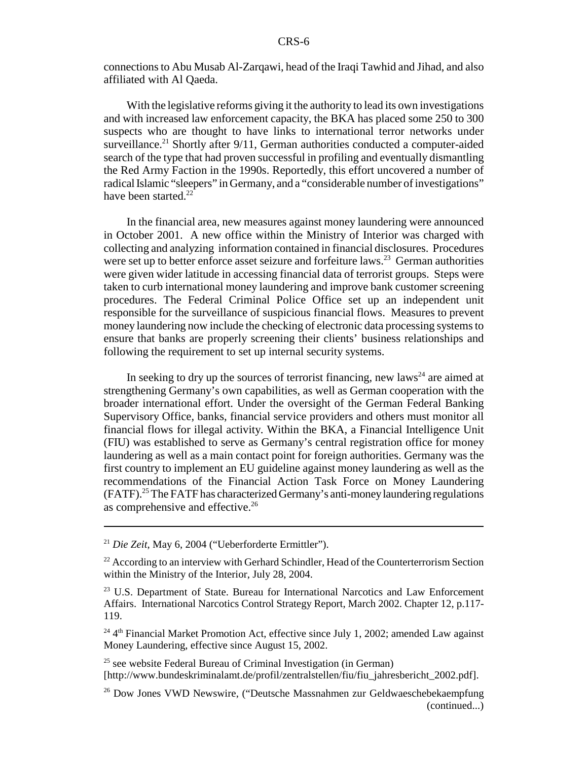connections to Abu Musab Al-Zarqawi, head of the Iraqi Tawhid and Jihad, and also affiliated with Al Qaeda.

With the legislative reforms giving it the authority to lead its own investigations and with increased law enforcement capacity, the BKA has placed some 250 to 300 suspects who are thought to have links to international terror networks under surveillance.<sup>21</sup> Shortly after  $9/11$ , German authorities conducted a computer-aided search of the type that had proven successful in profiling and eventually dismantling the Red Army Faction in the 1990s. Reportedly, this effort uncovered a number of radical Islamic "sleepers" in Germany, and a "considerable number of investigations" have been started. $^{22}$ 

In the financial area, new measures against money laundering were announced in October 2001. A new office within the Ministry of Interior was charged with collecting and analyzing information contained in financial disclosures. Procedures were set up to better enforce asset seizure and forfeiture laws.<sup>23</sup> German authorities were given wider latitude in accessing financial data of terrorist groups. Steps were taken to curb international money laundering and improve bank customer screening procedures. The Federal Criminal Police Office set up an independent unit responsible for the surveillance of suspicious financial flows. Measures to prevent money laundering now include the checking of electronic data processing systems to ensure that banks are properly screening their clients' business relationships and following the requirement to set up internal security systems.

In seeking to dry up the sources of terrorist financing, new laws<sup>24</sup> are aimed at strengthening Germany's own capabilities, as well as German cooperation with the broader international effort. Under the oversight of the German Federal Banking Supervisory Office, banks, financial service providers and others must monitor all financial flows for illegal activity. Within the BKA, a Financial Intelligence Unit (FIU) was established to serve as Germany's central registration office for money laundering as well as a main contact point for foreign authorities. Germany was the first country to implement an EU guideline against money laundering as well as the recommendations of the Financial Action Task Force on Money Laundering (FATF).25 The FATF has characterized Germany's anti-money laundering regulations as comprehensive and effective.26

<sup>21</sup> *Die Zeit*, May 6, 2004 ("Ueberforderte Ermittler").

<sup>&</sup>lt;sup>22</sup> According to an interview with Gerhard Schindler, Head of the Counterterrorism Section within the Ministry of the Interior, July 28, 2004.

<sup>&</sup>lt;sup>23</sup> U.S. Department of State. Bureau for International Narcotics and Law Enforcement Affairs. International Narcotics Control Strategy Report, March 2002. Chapter 12, p.117- 119.

 $24$ <sup>4th</sup> Financial Market Promotion Act, effective since July 1, 2002; amended Law against Money Laundering, effective since August 15, 2002.

 $25$  see website Federal Bureau of Criminal Investigation (in German) [http://www.bundeskriminalamt.de/profil/zentralstellen/fiu/fiu\_jahresbericht\_2002.pdf].

<sup>26</sup> Dow Jones VWD Newswire, ("Deutsche Massnahmen zur Geldwaeschebekaempfung (continued...)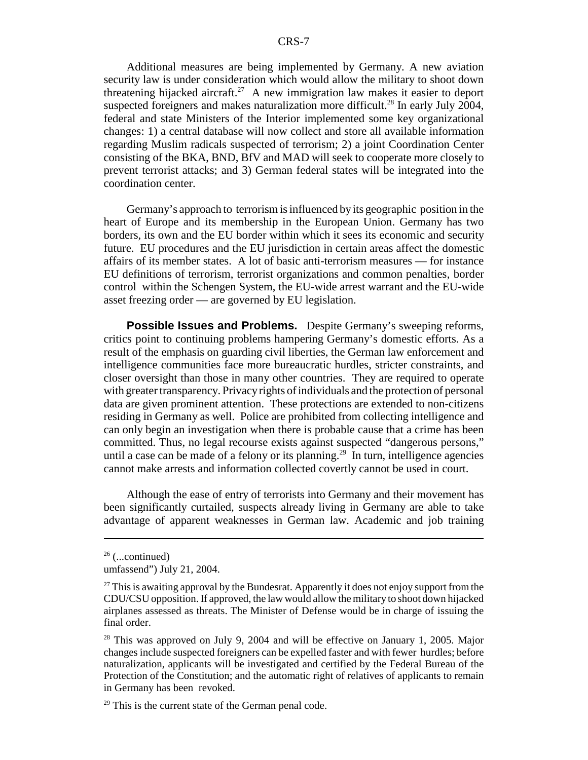Additional measures are being implemented by Germany. A new aviation security law is under consideration which would allow the military to shoot down threatening hijacked aircraft.<sup>27</sup> A new immigration law makes it easier to deport suspected foreigners and makes naturalization more difficult.<sup>28</sup> In early July 2004, federal and state Ministers of the Interior implemented some key organizational changes: 1) a central database will now collect and store all available information regarding Muslim radicals suspected of terrorism; 2) a joint Coordination Center consisting of the BKA, BND, BfV and MAD will seek to cooperate more closely to prevent terrorist attacks; and 3) German federal states will be integrated into the coordination center.

Germany's approach to terrorism is influenced by its geographic position in the heart of Europe and its membership in the European Union. Germany has two borders, its own and the EU border within which it sees its economic and security future. EU procedures and the EU jurisdiction in certain areas affect the domestic affairs of its member states. A lot of basic anti-terrorism measures — for instance EU definitions of terrorism, terrorist organizations and common penalties, border control within the Schengen System, the EU-wide arrest warrant and the EU-wide asset freezing order — are governed by EU legislation.

**Possible Issues and Problems.** Despite Germany's sweeping reforms, critics point to continuing problems hampering Germany's domestic efforts. As a result of the emphasis on guarding civil liberties, the German law enforcement and intelligence communities face more bureaucratic hurdles, stricter constraints, and closer oversight than those in many other countries. They are required to operate with greater transparency. Privacy rights of individuals and the protection of personal data are given prominent attention. These protections are extended to non-citizens residing in Germany as well. Police are prohibited from collecting intelligence and can only begin an investigation when there is probable cause that a crime has been committed. Thus, no legal recourse exists against suspected "dangerous persons," until a case can be made of a felony or its planning.<sup>29</sup> In turn, intelligence agencies cannot make arrests and information collected covertly cannot be used in court.

Although the ease of entry of terrorists into Germany and their movement has been significantly curtailed, suspects already living in Germany are able to take advantage of apparent weaknesses in German law. Academic and job training

 $26$  (...continued)

umfassend") July 21, 2004.

 $27$  This is awaiting approval by the Bundesrat. Apparently it does not enjoy support from the CDU/CSU opposition. If approved, the law would allow the military to shoot down hijacked airplanes assessed as threats. The Minister of Defense would be in charge of issuing the final order.

 $28$  This was approved on July 9, 2004 and will be effective on January 1, 2005. Major changes include suspected foreigners can be expelled faster and with fewer hurdles; before naturalization, applicants will be investigated and certified by the Federal Bureau of the Protection of the Constitution; and the automatic right of relatives of applicants to remain in Germany has been revoked.

 $29$  This is the current state of the German penal code.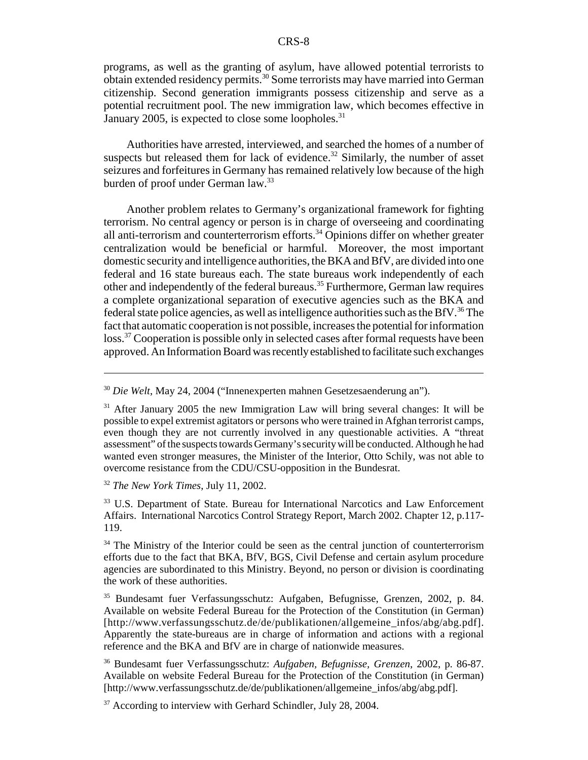programs, as well as the granting of asylum, have allowed potential terrorists to obtain extended residency permits.30 Some terrorists may have married into German citizenship. Second generation immigrants possess citizenship and serve as a potential recruitment pool. The new immigration law, which becomes effective in January 2005, is expected to close some loopholes. $31$ 

Authorities have arrested, interviewed, and searched the homes of a number of suspects but released them for lack of evidence. $32$  Similarly, the number of asset seizures and forfeitures in Germany has remained relatively low because of the high burden of proof under German law.<sup>33</sup>

Another problem relates to Germany's organizational framework for fighting terrorism. No central agency or person is in charge of overseeing and coordinating all anti-terrorism and counterterrorism efforts.34 Opinions differ on whether greater centralization would be beneficial or harmful. Moreover, the most important domestic security and intelligence authorities, the BKA and BfV, are divided into one federal and 16 state bureaus each. The state bureaus work independently of each other and independently of the federal bureaus.35 Furthermore, German law requires a complete organizational separation of executive agencies such as the BKA and federal state police agencies, as well as intelligence authorities such as the BfV.<sup>36</sup> The fact that automatic cooperation is not possible, increases the potential for information loss.<sup>37</sup> Cooperation is possible only in selected cases after formal requests have been approved. An Information Board was recently established to facilitate such exchanges

<sup>32</sup> *The New York Times*, July 11, 2002.

33 U.S. Department of State. Bureau for International Narcotics and Law Enforcement Affairs. International Narcotics Control Strategy Report, March 2002. Chapter 12, p.117- 119.

 $34$  The Ministry of the Interior could be seen as the central junction of counterterrorism efforts due to the fact that BKA, BfV, BGS, Civil Defense and certain asylum procedure agencies are subordinated to this Ministry. Beyond, no person or division is coordinating the work of these authorities.

35 Bundesamt fuer Verfassungsschutz: Aufgaben, Befugnisse, Grenzen, 2002, p. 84. Available on website Federal Bureau for the Protection of the Constitution (in German) [http://www.verfassungsschutz.de/de/publikationen/allgemeine\_infos/abg/abg.pdf]. Apparently the state-bureaus are in charge of information and actions with a regional reference and the BKA and BfV are in charge of nationwide measures.

36 Bundesamt fuer Verfassungsschutz: *Aufgaben, Befugnisse, Grenzen*, 2002, p. 86-87. Available on website Federal Bureau for the Protection of the Constitution (in German) [http://www.verfassungsschutz.de/de/publikationen/allgemeine\_infos/abg/abg.pdf].

 $37$  According to interview with Gerhard Schindler, July 28, 2004.

<sup>30</sup> *Die Welt*, May 24, 2004 ("Innenexperten mahnen Gesetzesaenderung an").

<sup>&</sup>lt;sup>31</sup> After January 2005 the new Immigration Law will bring several changes: It will be possible to expel extremist agitators or persons who were trained in Afghan terrorist camps, even though they are not currently involved in any questionable activities. A "threat assessment" of the suspects towards Germany's security will be conducted. Although he had wanted even stronger measures, the Minister of the Interior, Otto Schily, was not able to overcome resistance from the CDU/CSU-opposition in the Bundesrat.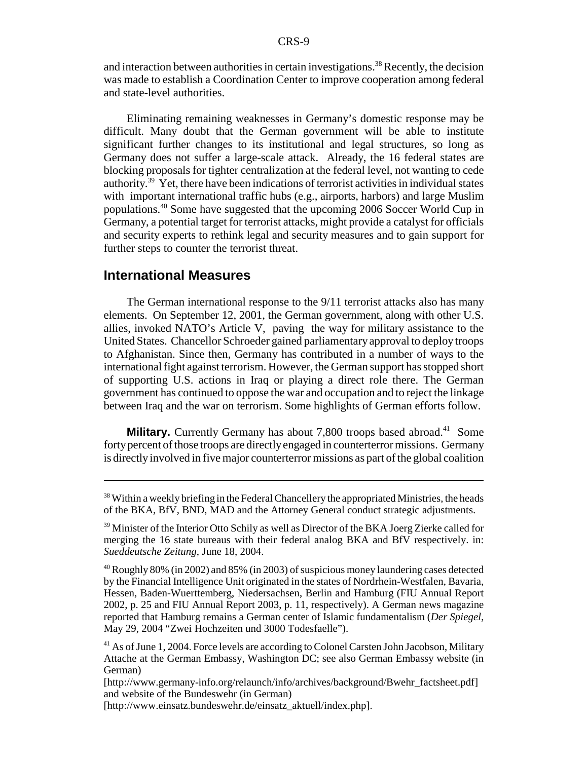and interaction between authorities in certain investigations.<sup>38</sup> Recently, the decision was made to establish a Coordination Center to improve cooperation among federal and state-level authorities.

Eliminating remaining weaknesses in Germany's domestic response may be difficult. Many doubt that the German government will be able to institute significant further changes to its institutional and legal structures, so long as Germany does not suffer a large-scale attack. Already, the 16 federal states are blocking proposals for tighter centralization at the federal level, not wanting to cede authority.39 Yet, there have been indications of terrorist activities in individual states with important international traffic hubs (e.g., airports, harbors) and large Muslim populations.40 Some have suggested that the upcoming 2006 Soccer World Cup in Germany, a potential target for terrorist attacks, might provide a catalyst for officials and security experts to rethink legal and security measures and to gain support for further steps to counter the terrorist threat.

#### **International Measures**

The German international response to the 9/11 terrorist attacks also has many elements. On September 12, 2001, the German government, along with other U.S. allies, invoked NATO's Article V, paving the way for military assistance to the United States. Chancellor Schroeder gained parliamentary approval to deploy troops to Afghanistan. Since then, Germany has contributed in a number of ways to the international fight against terrorism. However, the German support has stopped short of supporting U.S. actions in Iraq or playing a direct role there. The German government has continued to oppose the war and occupation and to reject the linkage between Iraq and the war on terrorism. Some highlights of German efforts follow.

**Military.** Currently Germany has about 7,800 troops based abroad.<sup>41</sup> Some forty percent of those troops are directly engaged in counterterror missions. Germany is directly involved in five major counterterror missions as part of the global coalition

 $38$  Within a weekly briefing in the Federal Chancellery the appropriated Ministries, the heads of the BKA, BfV, BND, MAD and the Attorney General conduct strategic adjustments.

<sup>&</sup>lt;sup>39</sup> Minister of the Interior Otto Schily as well as Director of the BKA Joerg Zierke called for merging the 16 state bureaus with their federal analog BKA and BfV respectively. in: *Sueddeutsche Zeitung*, June 18, 2004.

<sup>40</sup> Roughly 80% (in 2002) and 85% (in 2003) of suspicious money laundering cases detected by the Financial Intelligence Unit originated in the states of Nordrhein-Westfalen, Bavaria, Hessen, Baden-Wuerttemberg, Niedersachsen, Berlin and Hamburg (FIU Annual Report 2002, p. 25 and FIU Annual Report 2003, p. 11, respectively). A German news magazine reported that Hamburg remains a German center of Islamic fundamentalism (*Der Spiegel*, May 29, 2004 "Zwei Hochzeiten und 3000 Todesfaelle").

<sup>&</sup>lt;sup>41</sup> As of June 1, 2004. Force levels are according to Colonel Carsten John Jacobson, Military Attache at the German Embassy, Washington DC; see also German Embassy website (in German)

<sup>[</sup>http://www.germany-info.org/relaunch/info/archives/background/Bwehr\_factsheet.pdf] and website of the Bundeswehr (in German)

<sup>[</sup>http://www.einsatz.bundeswehr.de/einsatz\_aktuell/index.php].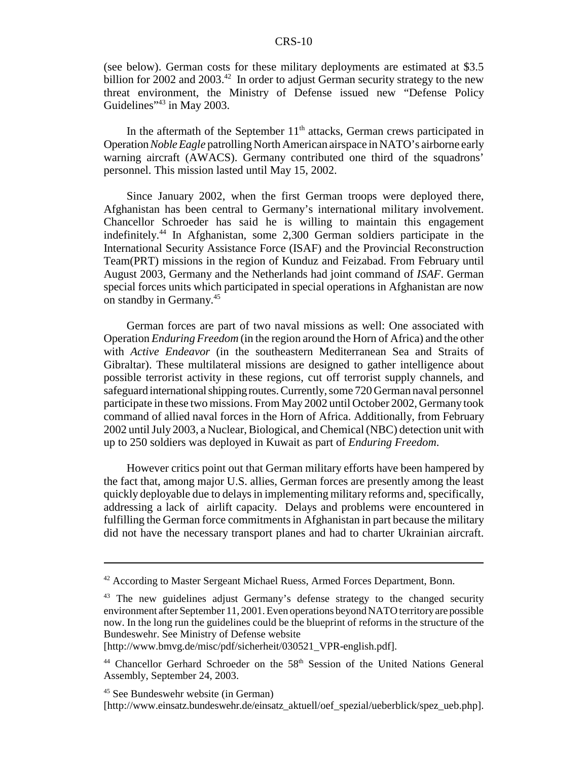(see below). German costs for these military deployments are estimated at \$3.5 billion for 2002 and 2003.<sup>42</sup> In order to adjust German security strategy to the new threat environment, the Ministry of Defense issued new "Defense Policy Guidelines<sup>"43</sup> in May 2003.

In the aftermath of the September  $11<sup>th</sup>$  attacks, German crews participated in Operation *Noble Eagle* patrolling North American airspace in NATO's airborne early warning aircraft (AWACS). Germany contributed one third of the squadrons' personnel. This mission lasted until May 15, 2002.

Since January 2002, when the first German troops were deployed there, Afghanistan has been central to Germany's international military involvement. Chancellor Schroeder has said he is willing to maintain this engagement indefinitely.44 In Afghanistan, some 2,300 German soldiers participate in the International Security Assistance Force (ISAF) and the Provincial Reconstruction Team(PRT) missions in the region of Kunduz and Feizabad. From February until August 2003, Germany and the Netherlands had joint command of *ISAF*. German special forces units which participated in special operations in Afghanistan are now on standby in Germany.45

German forces are part of two naval missions as well: One associated with Operation *Enduring Freedom* (in the region around the Horn of Africa) and the other with *Active Endeavor* (in the southeastern Mediterranean Sea and Straits of Gibraltar). These multilateral missions are designed to gather intelligence about possible terrorist activity in these regions, cut off terrorist supply channels, and safeguard international shipping routes. Currently, some 720 German naval personnel participate in these two missions. From May 2002 until October 2002, Germany took command of allied naval forces in the Horn of Africa. Additionally, from February 2002 until July 2003, a Nuclear, Biological, and Chemical (NBC) detection unit with up to 250 soldiers was deployed in Kuwait as part of *Enduring Freedom*.

However critics point out that German military efforts have been hampered by the fact that, among major U.S. allies, German forces are presently among the least quickly deployable due to delays in implementing military reforms and, specifically, addressing a lack of airlift capacity. Delays and problems were encountered in fulfilling the German force commitments in Afghanistan in part because the military did not have the necessary transport planes and had to charter Ukrainian aircraft.

[http://www.bmvg.de/misc/pdf/sicherheit/030521\_VPR-english.pdf].

<sup>&</sup>lt;sup>42</sup> According to Master Sergeant Michael Ruess, Armed Forces Department, Bonn.

<sup>&</sup>lt;sup>43</sup> The new guidelines adjust Germany's defense strategy to the changed security environment after September 11, 2001. Even operations beyond NATO territory are possible now. In the long run the guidelines could be the blueprint of reforms in the structure of the Bundeswehr. See Ministry of Defense website

<sup>&</sup>lt;sup>44</sup> Chancellor Gerhard Schroeder on the 58<sup>th</sup> Session of the United Nations General Assembly, September 24, 2003.

<sup>45</sup> See Bundeswehr website (in German) [http://www.einsatz.bundeswehr.de/einsatz\_aktuell/oef\_spezial/ueberblick/spez\_ueb.php].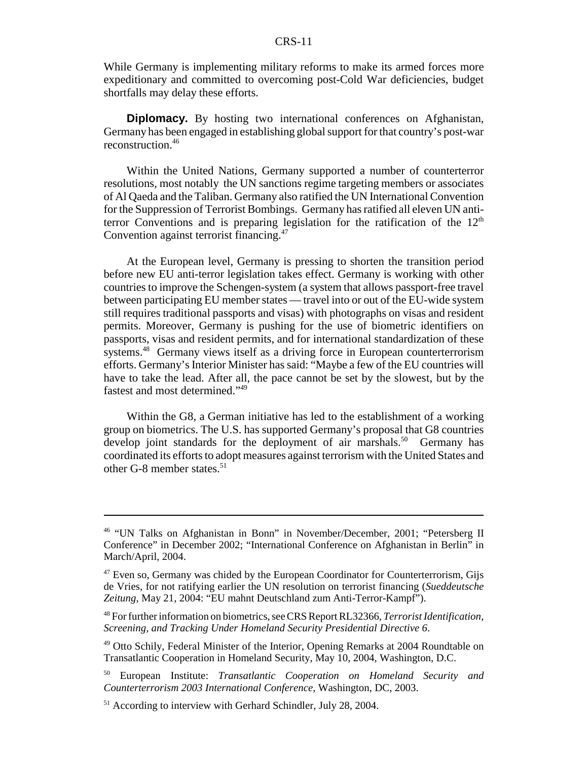While Germany is implementing military reforms to make its armed forces more expeditionary and committed to overcoming post-Cold War deficiencies, budget shortfalls may delay these efforts.

**Diplomacy.** By hosting two international conferences on Afghanistan, Germany has been engaged in establishing global support for that country's post-war reconstruction.46

Within the United Nations, Germany supported a number of counterterror resolutions, most notably the UN sanctions regime targeting members or associates of Al Qaeda and the Taliban. Germany also ratified the UN International Convention for the Suppression of Terrorist Bombings. Germany has ratified all eleven UN antiterror Conventions and is preparing legislation for the ratification of the  $12<sup>th</sup>$ Convention against terrorist financing.<sup>47</sup>

At the European level, Germany is pressing to shorten the transition period before new EU anti-terror legislation takes effect. Germany is working with other countries to improve the Schengen-system (a system that allows passport-free travel between participating EU member states — travel into or out of the EU-wide system still requires traditional passports and visas) with photographs on visas and resident permits. Moreover, Germany is pushing for the use of biometric identifiers on passports, visas and resident permits, and for international standardization of these systems.<sup>48</sup> Germany views itself as a driving force in European counterterrorism efforts. Germany's Interior Minister has said: "Maybe a few of the EU countries will have to take the lead. After all, the pace cannot be set by the slowest, but by the fastest and most determined."49

Within the G8, a German initiative has led to the establishment of a working group on biometrics. The U.S. has supported Germany's proposal that G8 countries develop joint standards for the deployment of air marshals.<sup>50</sup> Germany has coordinated its efforts to adopt measures against terrorism with the United States and other G-8 member states.<sup>51</sup>

<sup>46 &</sup>quot;UN Talks on Afghanistan in Bonn" in November/December, 2001; "Petersberg II Conference" in December 2002; "International Conference on Afghanistan in Berlin" in March/April, 2004.

 $47$  Even so, Germany was chided by the European Coordinator for Counterterrorism, Gijs de Vries, for not ratifying earlier the UN resolution on terrorist financing (*Sueddeutsche Zeitung*, May 21, 2004: "EU mahnt Deutschland zum Anti-Terror-Kampf").

<sup>48</sup> For further information on biometrics, see CRS Report RL32366, *Terrorist Identification, Screening, and Tracking Under Homeland Security Presidential Directive 6*.

<sup>&</sup>lt;sup>49</sup> Otto Schily, Federal Minister of the Interior, Opening Remarks at 2004 Roundtable on Transatlantic Cooperation in Homeland Security, May 10, 2004, Washington, D.C.

<sup>50</sup> European Institute: *Transatlantic Cooperation on Homeland Security and Counterterrorism 2003 International Conference*, Washington, DC, 2003.

<sup>&</sup>lt;sup>51</sup> According to interview with Gerhard Schindler, July 28, 2004.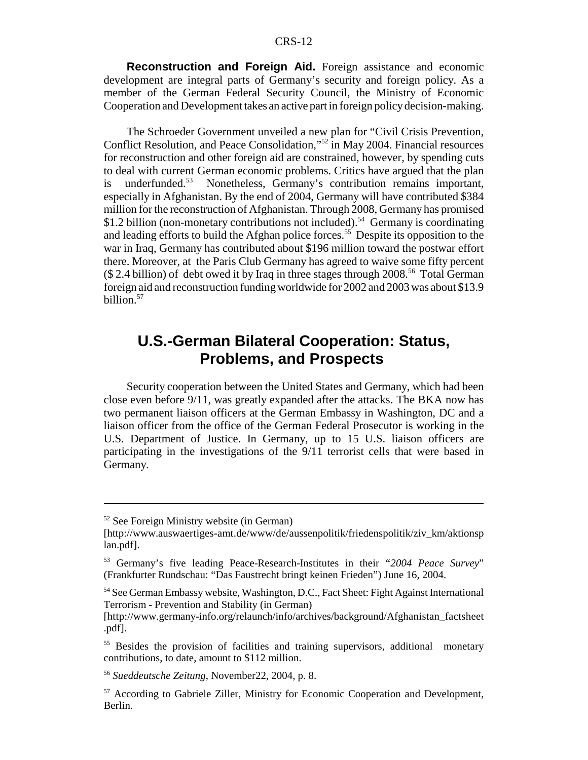**Reconstruction and Foreign Aid.** Foreign assistance and economic development are integral parts of Germany's security and foreign policy. As a member of the German Federal Security Council, the Ministry of Economic Cooperation and Development takes an active part in foreign policy decision-making.

The Schroeder Government unveiled a new plan for "Civil Crisis Prevention, Conflict Resolution, and Peace Consolidation,"52 in May 2004. Financial resources for reconstruction and other foreign aid are constrained, however, by spending cuts to deal with current German economic problems. Critics have argued that the plan is underfunded.53 Nonetheless, Germany's contribution remains important, especially in Afghanistan. By the end of 2004, Germany will have contributed \$384 million for the reconstruction of Afghanistan. Through 2008, Germany has promised \$1.2 billion (non-monetary contributions not included).<sup>54</sup> Germany is coordinating and leading efforts to build the Afghan police forces.<sup>55</sup> Despite its opposition to the war in Iraq, Germany has contributed about \$196 million toward the postwar effort there. Moreover, at the Paris Club Germany has agreed to waive some fifty percent  $($ 2.4 billion)$  of debt owed it by Iraq in three stages through 2008.<sup>56</sup> Total German foreign aid and reconstruction funding worldwide for 2002 and 2003 was about \$13.9 billion.57

# **U.S.-German Bilateral Cooperation: Status, Problems, and Prospects**

Security cooperation between the United States and Germany, which had been close even before 9/11, was greatly expanded after the attacks. The BKA now has two permanent liaison officers at the German Embassy in Washington, DC and a liaison officer from the office of the German Federal Prosecutor is working in the U.S. Department of Justice. In Germany, up to 15 U.S. liaison officers are participating in the investigations of the 9/11 terrorist cells that were based in Germany.

<sup>52</sup> See Foreign Ministry website (in German)

<sup>[</sup>http://www.auswaertiges-amt.de/www/de/aussenpolitik/friedenspolitik/ziv\_km/aktionsp lan.pdf].

<sup>53</sup> Germany's five leading Peace-Research-Institutes in their "*2004 Peace Survey*" (Frankfurter Rundschau: "Das Faustrecht bringt keinen Frieden") June 16, 2004.

<sup>54</sup> See German Embassy website, Washington, D.C., Fact Sheet: Fight Against International Terrorism - Prevention and Stability (in German)

<sup>[</sup>http://www.germany-info.org/relaunch/info/archives/background/Afghanistan\_factsheet .pdf].

<sup>&</sup>lt;sup>55</sup> Besides the provision of facilities and training supervisors, additional monetary contributions, to date, amount to \$112 million.

<sup>56</sup> *Sueddeutsche Zeitung*, November22, 2004, p. 8.

<sup>57</sup> According to Gabriele Ziller, Ministry for Economic Cooperation and Development, Berlin.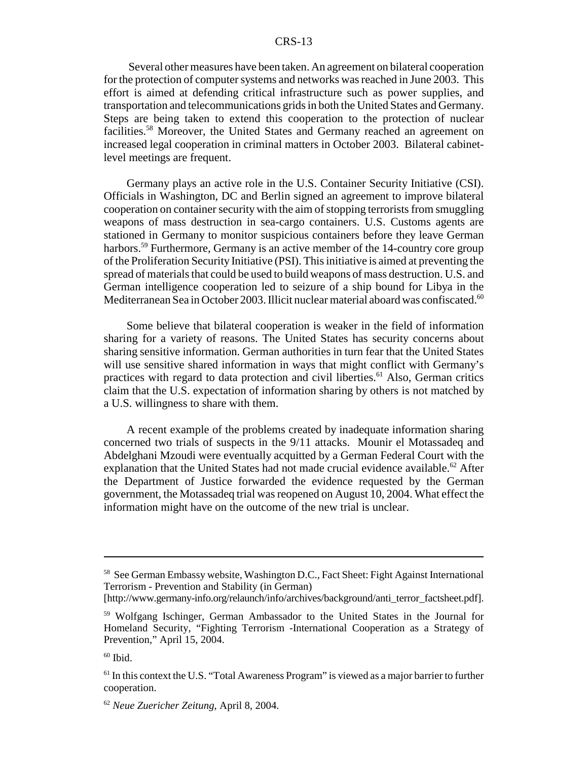Several other measures have been taken. An agreement on bilateral cooperation for the protection of computer systems and networks was reached in June 2003. This effort is aimed at defending critical infrastructure such as power supplies, and transportation and telecommunications grids in both the United States and Germany. Steps are being taken to extend this cooperation to the protection of nuclear facilities.58 Moreover, the United States and Germany reached an agreement on increased legal cooperation in criminal matters in October 2003. Bilateral cabinetlevel meetings are frequent.

Germany plays an active role in the U.S. Container Security Initiative (CSI). Officials in Washington, DC and Berlin signed an agreement to improve bilateral cooperation on container security with the aim of stopping terrorists from smuggling weapons of mass destruction in sea-cargo containers. U.S. Customs agents are stationed in Germany to monitor suspicious containers before they leave German harbors.<sup>59</sup> Furthermore, Germany is an active member of the 14-country core group of the Proliferation Security Initiative (PSI). This initiative is aimed at preventing the spread of materials that could be used to build weapons of mass destruction. U.S. and German intelligence cooperation led to seizure of a ship bound for Libya in the Mediterranean Sea in October 2003. Illicit nuclear material aboard was confiscated.<sup>60</sup>

Some believe that bilateral cooperation is weaker in the field of information sharing for a variety of reasons. The United States has security concerns about sharing sensitive information. German authorities in turn fear that the United States will use sensitive shared information in ways that might conflict with Germany's practices with regard to data protection and civil liberties.<sup>61</sup> Also, German critics claim that the U.S. expectation of information sharing by others is not matched by a U.S. willingness to share with them.

A recent example of the problems created by inadequate information sharing concerned two trials of suspects in the 9/11 attacks. Mounir el Motassadeq and Abdelghani Mzoudi were eventually acquitted by a German Federal Court with the explanation that the United States had not made crucial evidence available.<sup>62</sup> After the Department of Justice forwarded the evidence requested by the German government, the Motassadeq trial was reopened on August 10, 2004. What effect the information might have on the outcome of the new trial is unclear.

<sup>&</sup>lt;sup>58</sup> See German Embassy website, Washington D.C., Fact Sheet: Fight Against International Terrorism - Prevention and Stability (in German)

<sup>[</sup>http://www.germany-info.org/relaunch/info/archives/background/anti\_terror\_factsheet.pdf].

<sup>59</sup> Wolfgang Ischinger, German Ambassador to the United States in the Journal for Homeland Security, "Fighting Terrorism -International Cooperation as a Strategy of Prevention," April 15, 2004.

 $60$  Ibid.

 $<sup>61</sup>$  In this context the U.S. "Total Awareness Program" is viewed as a major barrier to further</sup> cooperation.

<sup>62</sup> *Neue Zuericher Zeitung*, April 8, 2004.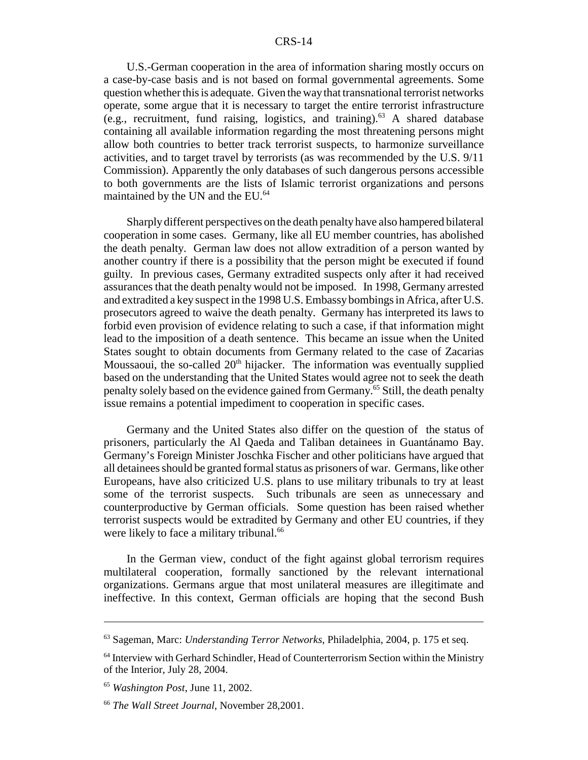U.S.-German cooperation in the area of information sharing mostly occurs on a case-by-case basis and is not based on formal governmental agreements. Some question whether this is adequate. Given the way that transnational terrorist networks operate, some argue that it is necessary to target the entire terrorist infrastructure (e.g., recruitment, fund raising, logistics, and training).<sup>63</sup> A shared database containing all available information regarding the most threatening persons might allow both countries to better track terrorist suspects, to harmonize surveillance activities, and to target travel by terrorists (as was recommended by the U.S. 9/11 Commission). Apparently the only databases of such dangerous persons accessible to both governments are the lists of Islamic terrorist organizations and persons maintained by the UN and the EU.<sup>64</sup>

Sharply different perspectives on the death penalty have also hampered bilateral cooperation in some cases. Germany, like all EU member countries, has abolished the death penalty. German law does not allow extradition of a person wanted by another country if there is a possibility that the person might be executed if found guilty. In previous cases, Germany extradited suspects only after it had received assurances that the death penalty would not be imposed. In 1998, Germany arrested and extradited a key suspect in the 1998 U.S. Embassy bombings in Africa, after U.S. prosecutors agreed to waive the death penalty. Germany has interpreted its laws to forbid even provision of evidence relating to such a case, if that information might lead to the imposition of a death sentence. This became an issue when the United States sought to obtain documents from Germany related to the case of Zacarias Moussaoui, the so-called  $20<sup>th</sup>$  hijacker. The information was eventually supplied based on the understanding that the United States would agree not to seek the death penalty solely based on the evidence gained from Germany.<sup>65</sup> Still, the death penalty issue remains a potential impediment to cooperation in specific cases.

Germany and the United States also differ on the question of the status of prisoners, particularly the Al Qaeda and Taliban detainees in Guantánamo Bay. Germany's Foreign Minister Joschka Fischer and other politicians have argued that all detainees should be granted formal status as prisoners of war. Germans, like other Europeans, have also criticized U.S. plans to use military tribunals to try at least some of the terrorist suspects. Such tribunals are seen as unnecessary and counterproductive by German officials. Some question has been raised whether terrorist suspects would be extradited by Germany and other EU countries, if they were likely to face a military tribunal.<sup>66</sup>

In the German view, conduct of the fight against global terrorism requires multilateral cooperation, formally sanctioned by the relevant international organizations. Germans argue that most unilateral measures are illegitimate and ineffective. In this context, German officials are hoping that the second Bush

<sup>63</sup> Sageman, Marc: *Understanding Terror Networks*, Philadelphia, 2004, p. 175 et seq.

<sup>&</sup>lt;sup>64</sup> Interview with Gerhard Schindler, Head of Counterterrorism Section within the Ministry of the Interior, July 28, 2004.

<sup>65</sup> *Washington Post*, June 11, 2002.

<sup>66</sup> *The Wall Street Journal*, November 28,2001.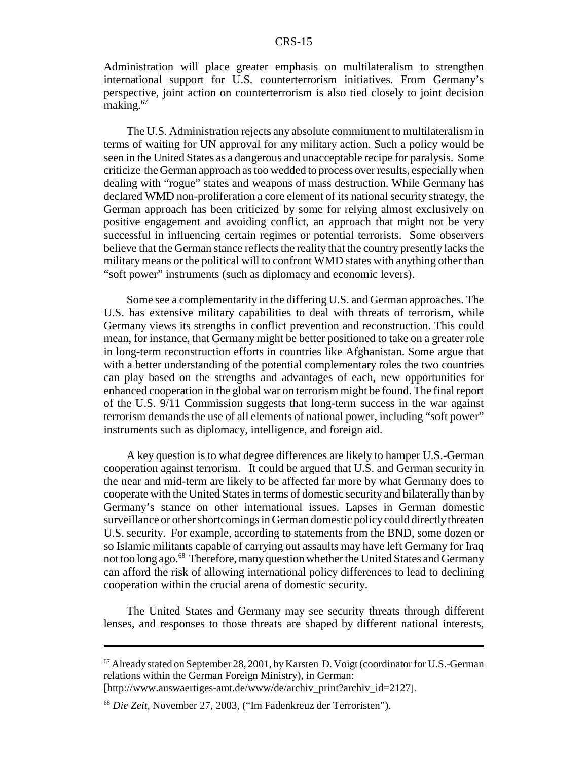Administration will place greater emphasis on multilateralism to strengthen international support for U.S. counterterrorism initiatives. From Germany's perspective, joint action on counterterrorism is also tied closely to joint decision making.<sup>67</sup>

The U.S. Administration rejects any absolute commitment to multilateralism in terms of waiting for UN approval for any military action. Such a policy would be seen in the United States as a dangerous and unacceptable recipe for paralysis. Some criticize the German approach as too wedded to process over results, especially when dealing with "rogue" states and weapons of mass destruction. While Germany has declared WMD non-proliferation a core element of its national security strategy, the German approach has been criticized by some for relying almost exclusively on positive engagement and avoiding conflict, an approach that might not be very successful in influencing certain regimes or potential terrorists. Some observers believe that the German stance reflects the reality that the country presently lacks the military means or the political will to confront WMD states with anything other than "soft power" instruments (such as diplomacy and economic levers).

Some see a complementarity in the differing U.S. and German approaches. The U.S. has extensive military capabilities to deal with threats of terrorism, while Germany views its strengths in conflict prevention and reconstruction. This could mean, for instance, that Germany might be better positioned to take on a greater role in long-term reconstruction efforts in countries like Afghanistan. Some argue that with a better understanding of the potential complementary roles the two countries can play based on the strengths and advantages of each, new opportunities for enhanced cooperation in the global war on terrorism might be found. The final report of the U.S. 9/11 Commission suggests that long-term success in the war against terrorism demands the use of all elements of national power, including "soft power" instruments such as diplomacy, intelligence, and foreign aid.

A key question is to what degree differences are likely to hamper U.S.-German cooperation against terrorism. It could be argued that U.S. and German security in the near and mid-term are likely to be affected far more by what Germany does to cooperate with the United States in terms of domestic security and bilaterally than by Germany's stance on other international issues. Lapses in German domestic surveillance or other shortcomings in German domestic policy could directly threaten U.S. security. For example, according to statements from the BND, some dozen or so Islamic militants capable of carrying out assaults may have left Germany for Iraq not too long ago.<sup>68</sup> Therefore, many question whether the United States and Germany can afford the risk of allowing international policy differences to lead to declining cooperation within the crucial arena of domestic security.

The United States and Germany may see security threats through different lenses, and responses to those threats are shaped by different national interests,

 $67$  Already stated on September 28, 2001, by Karsten D. Voigt (coordinator for U.S.-German relations within the German Foreign Ministry), in German:

<sup>[</sup>http://www.auswaertiges-amt.de/www/de/archiv\_print?archiv\_id=2127].

<sup>68</sup> *Die Zeit*, November 27, 2003, ("Im Fadenkreuz der Terroristen").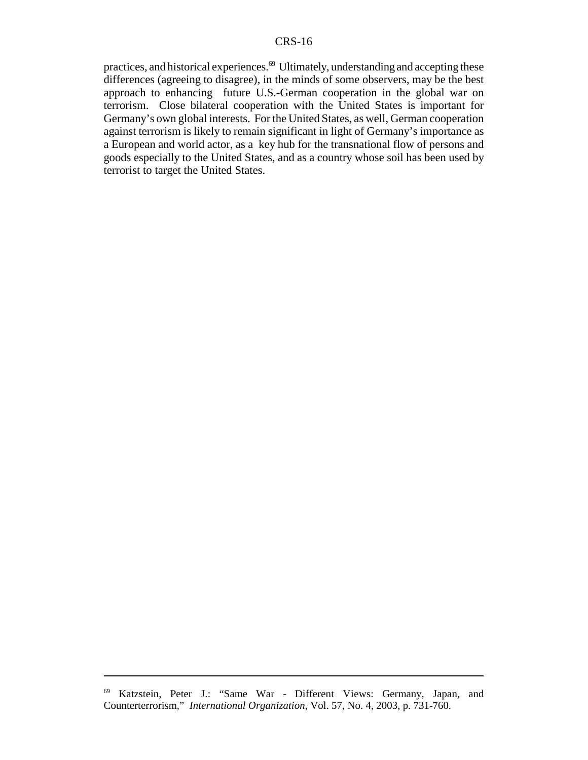practices, and historical experiences.69 Ultimately, understanding and accepting these differences (agreeing to disagree), in the minds of some observers, may be the best approach to enhancing future U.S.-German cooperation in the global war on terrorism. Close bilateral cooperation with the United States is important for Germany's own global interests. For the United States, as well, German cooperation against terrorism is likely to remain significant in light of Germany's importance as a European and world actor, as a key hub for the transnational flow of persons and goods especially to the United States, and as a country whose soil has been used by terrorist to target the United States.

<sup>69</sup> Katzstein, Peter J.: "Same War - Different Views: Germany, Japan, and Counterterrorism," *International Organization*, Vol. 57, No. 4, 2003, p. 731-760.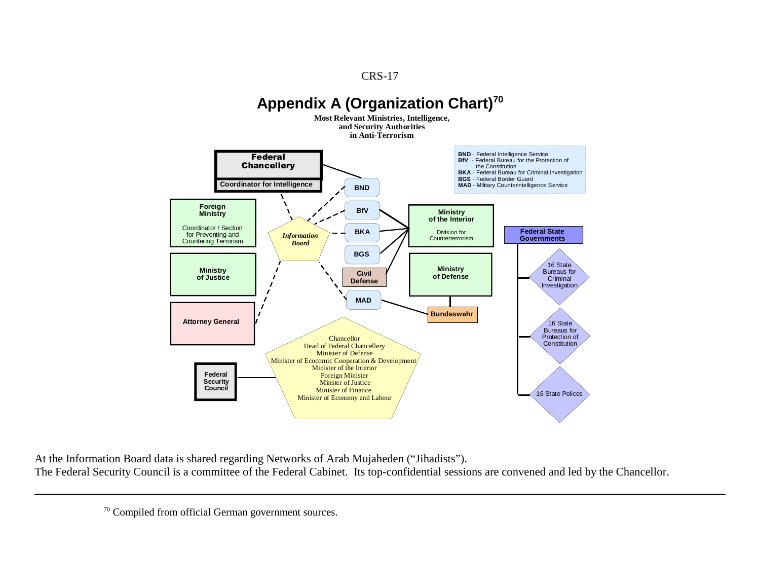

At the Information Board data is shared regarding Networks of Arab Mujaheden ("Jihadists"). The Federal Security Council is a committee of the Federal Cabinet. Its top-confidential sessions are convened and led by the Chancellor.

<sup>70</sup> Compiled from official German government sources.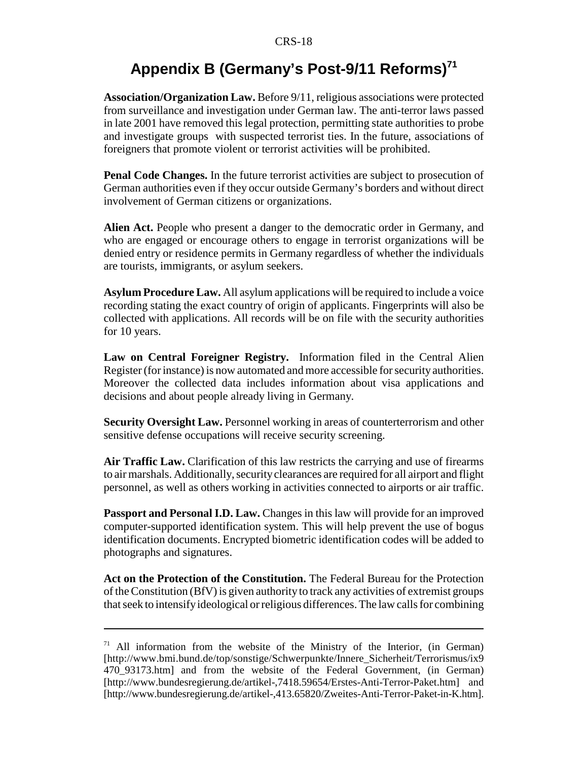# Appendix B (Germany's Post-9/11 Reforms)<sup>71</sup>

**Association/Organization Law.** Before 9/11, religious associations were protected from surveillance and investigation under German law. The anti-terror laws passed in late 2001 have removed this legal protection, permitting state authorities to probe and investigate groups with suspected terrorist ties. In the future, associations of foreigners that promote violent or terrorist activities will be prohibited.

**Penal Code Changes.** In the future terrorist activities are subject to prosecution of German authorities even if they occur outside Germany's borders and without direct involvement of German citizens or organizations.

**Alien Act.** People who present a danger to the democratic order in Germany, and who are engaged or encourage others to engage in terrorist organizations will be denied entry or residence permits in Germany regardless of whether the individuals are tourists, immigrants, or asylum seekers.

**Asylum Procedure Law.** All asylum applications will be required to include a voice recording stating the exact country of origin of applicants. Fingerprints will also be collected with applications. All records will be on file with the security authorities for 10 years.

**Law on Central Foreigner Registry.** Information filed in the Central Alien Register (for instance) is now automated and more accessible for security authorities. Moreover the collected data includes information about visa applications and decisions and about people already living in Germany.

**Security Oversight Law.** Personnel working in areas of counterterrorism and other sensitive defense occupations will receive security screening.

**Air Traffic Law.** Clarification of this law restricts the carrying and use of firearms to air marshals. Additionally, security clearances are required for all airport and flight personnel, as well as others working in activities connected to airports or air traffic.

**Passport and Personal I.D. Law.** Changes in this law will provide for an improved computer-supported identification system. This will help prevent the use of bogus identification documents. Encrypted biometric identification codes will be added to photographs and signatures.

**Act on the Protection of the Constitution.** The Federal Bureau for the Protection of the Constitution (BfV) is given authority to track any activities of extremist groups that seek to intensify ideological or religious differences. The law calls for combining

 $71$  All information from the website of the Ministry of the Interior, (in German) [http://www.bmi.bund.de/top/sonstige/Schwerpunkte/Innere\_Sicherheit/Terrorismus/ix9 470\_93173.htm] and from the website of the Federal Government, (in German) [http://www.bundesregierung.de/artikel-,7418.59654/Erstes-Anti-Terror-Paket.htm] and [http://www.bundesregierung.de/artikel-,413.65820/Zweites-Anti-Terror-Paket-in-K.htm].